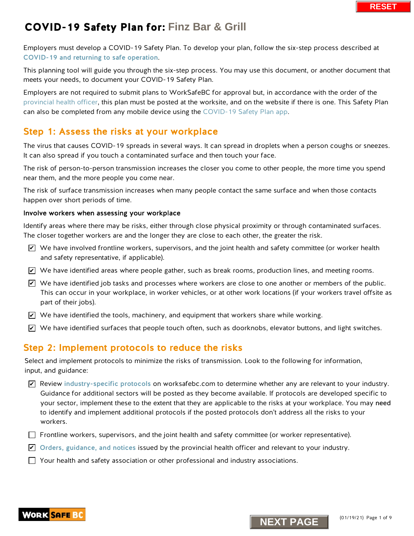Employers must develop a COVID-19 Safety Plan. To develop your plan, follow the six-step process described at [COVID-19 and returning to safe operation](https://www.worksafebc.com/en/about-us/covid-19-updates/covid-19-returning-safe-operation).

This planning tool will guide you through the six-step process. You may use this document, or another document that meets your needs, to document your COVID-19 Safety Plan.

Employers are not required to submit plans to WorkSafeBC for approval but, in accordance with the order of the [provincial health officer,](https://www2.gov.bc.ca/gov/content/health/about-bc-s-health-care-system/office-of-the-provincial-health-officer/current-health-topics/covid-19-novel-coronavirus) this plan must be posted at the worksite, and on the website if there is one. This Safety Plan can also be completed [from any mobile device using](https://www.worksafebc.com/en/resources/health-safety/interactive-tools/covid-19-safety-plan-app?lang=en&origin=s&returnurl=https%3A%2F%2Fwww.worksafebc.com%2Fen%2Fforms-resources%23sort%3D%2540fcomputeditemdatefield343%2520descending%26f%3Alanguage-facet%3D%5BEnglish%5D%26tags%3DCovid-19%7Ca96b6c96607345c481bb8621425ea03f) the COVID-19 Safety Plan app.

### Step 1: Assess the risks at your workplace

The virus that causes COVID-19 spreads in several ways. It can spread in droplets when a person coughs or sneezes. It can also spread if you touch a contaminated surface and then touch your face.

The risk of person-to-person transmission increases the closer you come to other people, the more time you spend near them, and the more people you come near.

The risk of surface transmission increases when many people contact the same surface and when those contacts happen over short periods of time.

### Involve workers when assessing your workplace

Identify areas where there may be risks, either through close physical proximity or through contaminated surfaces. The closer together workers are and the longer they are close to each other, the greater the risk.

- $\triangledown$  We have involved frontline workers, supervisors, and the joint health and safety committee (or worker health and safety representative, if applicable).
- $\blacktriangleright$  We have identified areas where people gather, such as break rooms, production lines, and meeting rooms.
- $\blacktriangleright$  We have identified job tasks and processes where workers are close to one another or members of the public. This can occur in your workplace, in worker vehicles, or at other work locations (if your workers travel offsite as part of their jobs).
- $\blacktriangleright$  We have identified the tools, machinery, and equipment that workers share while working.
- $\blacktriangleright$  We have identified surfaces that people touch often, such as doorknobs, elevator buttons, and light switches.

### Step 2: Implement protocols to reduce the risks

Select and implement protocols to minimize the risks of transmission. Look to the following for information, input, and guidance:

- $\blacktriangleright$  Review [industry-specific protocols](https://www.worksafebc.com/en/about-us/covid-19-updates/covid-19-returning-safe-operation) on worksafebc.com to determine whether any are relevant to your industry. Guidance for additional sectors will be posted as they become available. If protocols are developed specific to your sector, implement these to the extent that they are applicable to the risks at your workplace. You may need to identify and implement additional protocols if the posted protocols don't address all the risks to your workers. **N** whave involved frontine workers, supervisors, and the joint health and safety committed Not and safety energointative, if applicable).<br>
Not also start proposes where people gather, such as break rooms, production line
- $\Box$  Frontline workers, supervisors, and the joint health and safety committee (or worker representative).
- $\blacktriangleright$  [Orders, guidance, and notices](https://www2.gov.bc.ca/gov/content/health/about-bc-s-health-care-system/office-of-the-provincial-health-officer/current-health-topics/covid-19-novel-coronavirus) issued by the provincial health officer and relevant to your industry.
- $\Box$  Your health and safety association or other professional and industry associations.



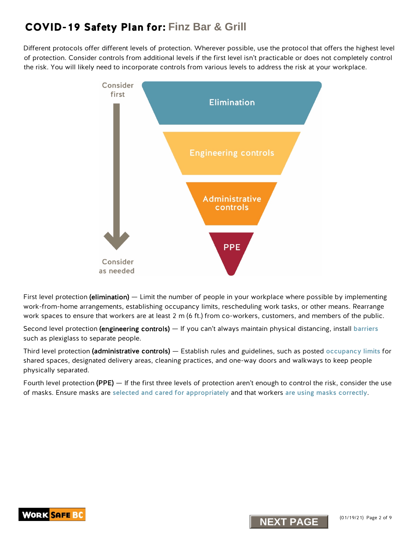Different protocols offer different levels of protection. Wherever possible, use the protocol that offers the highest level of protection. Consider controls from additional levels if the first level isn't practicable or does not completely control the risk. You will likely need to incorporate controls from various levels to address the risk at your workplace.



First level protection (elimination) — Limit the number of people in your workplace where possible by implementing work-from-home arrangements, establishing occupancy limits, rescheduling work tasks, or other means. Rearrange work spaces to ensure that workers are at least 2 m (6 ft.) from co-workers, customers, and members of the public.

Second level protection (engineering controls) — If you can't always maintain physical distancing, install [barriers](https://www.worksafebc.com/en/resources/health-safety/information-sheets/covid-19-health-safety-designing-effective-barriers?lang=en) such as plexiglass to separate people.

Third level protection (administrative controls) — Establish rules and guidelines, such as posted [occupancy limits](https://www.worksafebc.com/en/resources/health-safety/posters/help-prevent-spread-covid-19-occupancy-limit?lang=en) for shared spaces, designated delivery areas, cleaning practices, and one-way doors and walkways to keep people physically separated.

Fourth level protection (PPE) — If the first three levels of protection aren't enough to control the risk, consider the use of masks. Ensure masks are [selected and cared for appropriately](https://www.worksafebc.com/en/resources/health-safety/information-sheets/covid-19-health-safety-selecting-using-masks?lang=en) and that workers [are using masks correctly](https://www.worksafebc.com/en/resources/health-safety/posters/help-prevent-spread-covid-19-how-to-use-mask?lang=en).



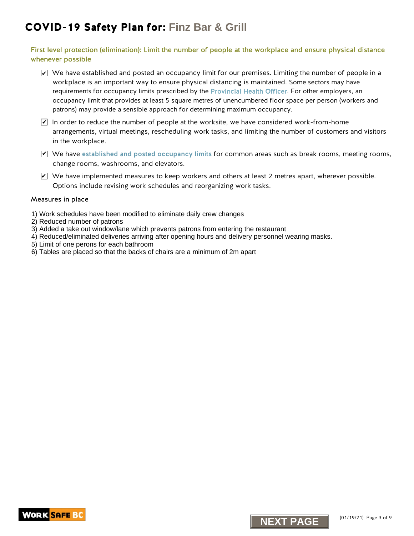#### First level protection (elimination): Limit the number of people at the workplace and ensure physical distance whenever possible

- $\blacktriangleright$  We have established and posted an occupancy limit for our premises. Limiting the number of people in a workplace is an important way to ensure physical distancing is maintained. Some sectors may have requirements for occupancy limits prescribed by the [Provincial Health Officer.](https://www2.gov.bc.ca/gov/content/health/about-bc-s-health-care-system/office-of-the-provincial-health-officer/current-health-topics/covid-19-novel-coronavirus) For other employers, an occupancy limit that provides at least 5 square metres of unencumbered floor space per person (workers and patrons) may provide a sensible approach for determining maximum occupancy.
- $\blacktriangleright$  In order to reduce the number of people at the worksite, we have considered work-from-home arrangements, virtual meetings, rescheduling work tasks, and limiting the number of customers and visitors in the workplace.
- $\blacktriangledown$  We have [established and posted occupancy limits](http://www.worksafebc.com/en/resources/health-safety/posters/help-prevent-spread-covid-19-occupancy-limit?lang=en) for common areas such as break rooms, meeting rooms, change rooms, washrooms, and elevators.
- $\triangledown$  We have implemented measures to keep workers and others at least 2 metres apart, wherever possible. Options include revising work schedules and reorganizing work tasks. **Not have implemented measures to keep vorkers and others at least 2 metres apart,**<br>
2 Options include revising work schedules and reorganizing work tasks.<br> **Assures in place**<br>
Nork schedules have been modified to eliminat

#### Measures in place

- 1) Work schedules have been modified to eliminate daily crew changes
- 2) Reduced number of patrons
- 3) Added a take out window/lane which prevents patrons from entering the restaurant
- 4) Reduced/eliminated deliveries arriving after opening hours and delivery personnel wearing masks.
- 5) Limit of one perons for each bathroom
- 6) Tables are placed so that the backs of chairs are a minimum of 2m apart



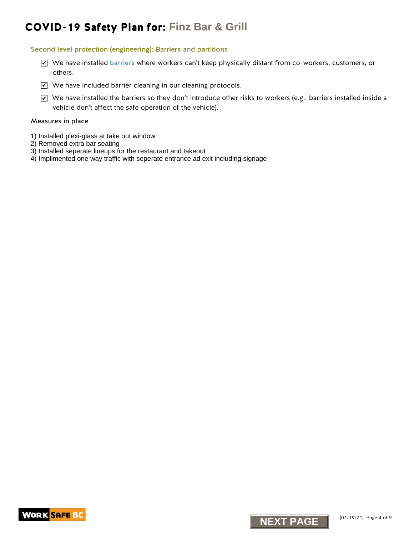#### Second level protection (engineering): Barriers and partitions

- We have installed [barriers](https://www.worksafebc.com/en/resources/health-safety/information-sheets/covid-19-health-safety-designing-effective-barriers?lang=en) where workers can't keep physically distant from co-workers, customers, or others.
- $\blacktriangleright$  We have included barrier cleaning in our cleaning protocols.
- $\blacktriangleright$  We have installed the barriers so they don't introduce other risks to workers (e.g., barriers installed inside a vehicle don't affect the safe operation of the vehicle). X <sup>Ne</sup> have installed barriers where workers can't keep physically distant from co-vories of outcrise.<br>
Discrepance of the barriers of the stress of the transitional protocols.<br>
The have included barrier cleaning in our cl

#### Measures in place

- 1) Installed plexi-glass at take out window
- 2) Removed extra bar seating
- 3) Installed seperate lineups for the restaurant and takeout
- 4) Implimented one way traffic with seperate entrance ad exit including signage



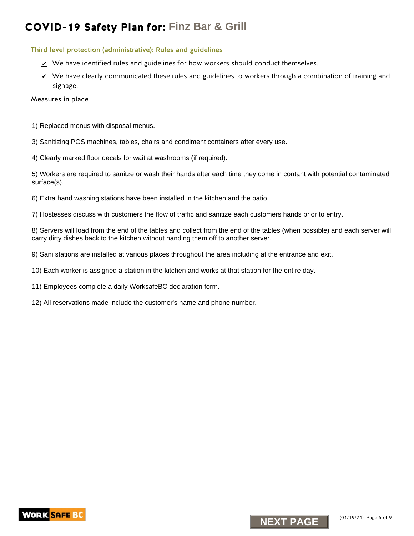#### Third level protection (administrative): Rules and guidelines

- $\trianglerighteq$  We have identified rules and guidelines for how workers should conduct themselves.
- $\blacktriangleright$  We have clearly communicated these rules and guidelines to workers through a combination of training and signage. K we have identified rules and guidelines for how workers should conduct themselves.<br>We have clearly communicated these rules and guidelines to vorkers through a communicated the communicated these rules and guidelines to

#### Measures in place

- 1) Replaced menus with disposal menus.
- 3) Sanitizing POS machines, tables, chairs and condiment containers after every use.
- 4) Clearly marked floor decals for wait at washrooms (if required).

5) Workers are required to sanitze or wash their hands after each time they come in contant with potential contaminated surface(s).

6) Extra hand washing stations have been installed in the kitchen and the patio.

7) Hostesses discuss with customers the flow of traffic and sanitize each customers hands prior to entry.

8) Servers will load from the end of the tables and collect from the end of the tables (when possible) and each server will carry dirty dishes back to the kitchen without handing them off to another server.

9) Sani stations are installed at various places throughout the area including at the entrance and exit.

- 10) Each worker is assigned a station in the kitchen and works at that station for the entire day.
- 11) Employees complete a daily WorksafeBC declaration form.
- 12) All reservations made include the customer's name and phone number.



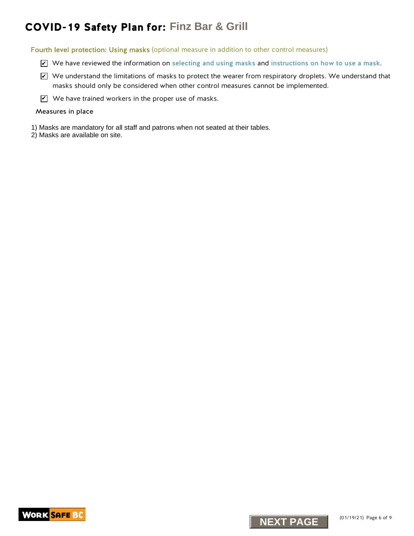Fourth level protection: Using masks (optional measure in addition to other control measures)

- We have reviewed the information on [selecting and using masks](https://www.worksafebc.com/en/resources/health-safety/information-sheets/covid-19-health-safety-selecting-using-masks?lang=en) and [instructions on how to use a mask](https://www.worksafebc.com/en/resources/health-safety/posters/help-prevent-spread-covid-19-how-to-use-mask?lang=en).
- $\blacktriangleright$  We understand the limitations of masks to protect the wearer from respiratory droplets. We understand that masks should only be considered when other control measures cannot be implemented. **NEXT PAGE ACCURATION**<br> **NEXT PAGE ACCURATION**<br> **EXELUTE ACCURATION**<br> **EXELUTE ACCURATION**<br> **EXELUTE ACCURATION**<br> **EXELUTE ACCURATION**<br> **FINCE ACCURATION**<br> **FINCE ACCURATION**<br> **FINCE ACCURATION**<br> **FINCE ACCURATION**<br> **FINCE**
- $\mathbf{V}$  We have trained workers in the proper use of masks.

#### Measures in place

- 1) Masks are mandatory for all staff and patrons when not seated at their tables.
- 2) Masks are available on site.



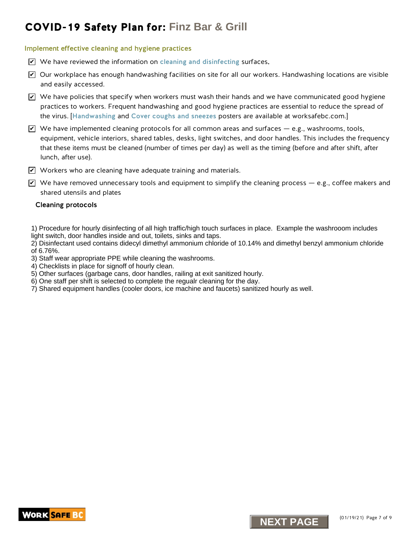#### Implement effective cleaning and hygiene practices

- We have reviewed the information on [cleaning and disinfecting](https://www.worksafebc.com/en/resources/health-safety/information-sheets/covid-19-health-safety-cleaning-disinfecting?lang=en) surfaces.
- $\blacktriangleright$  Our workplace has enough handwashing facilities on site for all our workers. Handwashing locations are visible and easily accessed.
- $\blacktriangleright$  We have policies that specify when workers must wash their hands and we have communicated good hygiene practices to workers. Frequent handwashing and good hygiene practices are essential to reduce the spread of the virus. [[Handwashing](https://www.worksafebc.com/en/resources/health-safety/posters/help-prevent-spread-covid-19-handwashing?lang=en) and [Cover coughs and sneezes](https://www.worksafebc.com/en/resources/health-safety/posters/help-prevent-spread-covid-19-cover-coughs-sneezes?lang=en) posters are available at worksafebc.com.]
- $\blacktriangleright$  We have implemented cleaning protocols for all common areas and surfaces e.g., washrooms, tools, equipment, vehicle interiors, shared tables, desks, light switches, and door handles. This includes the frequency that these items must be cleaned (number of times per day) as well as the timing (before and after shift, after lunch, after use). **NEXT PLANE TEND ASSEM AND A SET AS CRIP CONSUMPLE CONSUMPLE CONSUMPLE TO UNK THAT AND A SET AND A SET AND A SET AND A SET AND A SET AND A SET AND A SET AND MONORATION TO CONSUMPLE TO UNKNOW THAT A SET AND A SET AND A SET**
- $\blacktriangledown$  Workers who are cleaning have adequate training and materials.
- $\blacktriangledown$  We have removed unnecessary tools and equipment to simplify the cleaning process e.g., coffee makers and shared utensils and plates

#### Cleaning protocols

1) Procedure for hourly disinfecting of all high traffic/high touch surfaces in place. Example the washrooom includes light switch, door handles inside and out, toilets, sinks and taps.

2) Disinfectant used contains didecyl dimethyl ammonium chloride of 10.14% and dimethyl benzyl ammonium chloride of 6.76%.

- 3) Staff wear appropriate PPE while cleaning the washrooms.
- 4) Checklists in place for signoff of hourly clean.
- 5) Other surfaces (garbage cans, door handles, railing at exit sanitized hourly.
- 6) One staff per shift is selected to complete the regualr cleaning for the day.
- 7) Shared equipment handles (cooler doors, ice machine and faucets) sanitized hourly as well.



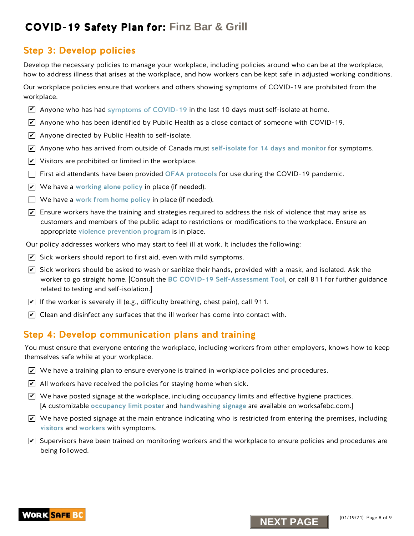### Step 3: Develop policies

Develop the necessary policies to manage your workplace, including policies around who can be at the workplace, how to address illness that arises at the workplace, and how workers can be kept safe in adjusted working conditions.

Our workplace policies ensure that workers and others showing symptoms of COVID-19 are prohibited from the workplace.

- $\triangledown$  Anyone who has ha[d symptoms of COVID-19](https://www.worksafebc.com/en/resources/health-safety/posters/help-prevent-spread-covid-19-entry-check-visitors?lang=en) in the last 10 days must self-isolate at home.
- $\overline{\mathscr{L}}$  Anyone who has been identified by Public Health as a close contact of someone with COVID-19.
- $\blacktriangleright$  Anyone directed by Public Health to self-isolate.
- $\overline{\mathscr{L}}$  Anyone who has arrived from outside of Canada must [self-isolate for 14 days and monitor](http://www.bccdc.ca/health-info/diseases-conditions/covid-19/self-isolation) for symptoms.
- $\blacktriangleright$  Visitors are prohibited or limited in the workplace.
- $\Box$  First aid attendants have been provided [OFAA protocols](https://www.worksafebc.com/en/resources/health-safety/information-sheets/ofaa-protocols-covid-19-pandemic?lang=en) for use during the COVID-19 pandemic.
- $\blacktriangleright$  We have a [working alone policy](https://www.worksafebc.com/en/health-safety/hazards-exposures/working-alone) in place (if needed).
- $\Box$  We have a work from home policy in place (if needed).
- $\blacktriangleright$  Ensure workers have the training and strategies required to address the risk of violence that may arise as customers and members of the public adapt to restrictions or modifications to the workplace. Ensure an appropriate [violence prevention progra](https://www.worksafebc.com/en/health-safety/hazards-exposures/violence)m is in place.
- Our policy addresses workers who may start to feel ill at work. It includes the following:
- $\blacktriangleright$  Sick workers should report to first aid, even with mild symptoms.
- $\overline{\mathscr{L}}$  Sick workers should be asked to wash or sanitize their hands, provided with a mask, and isolated. Ask the worker to go straight home. [Consult the [BC COVID-19 Self-Assessment Tool](https://bc.thrive.health/), or call 811 for further guidance related to testing and self-isolation.] **NEXT PLANS INTERNATION CONSUMMATION**<br> **NEXT PARALLY TEND CONSUMMATION** CONSUMPTED IN THE SET ON THE SET ON THE SET ON THE SET ON THE SET ON THE SET ON THE SET ON THE SET ON THE SET ON THE SET ON THE SET ON THE SET ON THE
- $\blacktriangleright$  If the worker is severely ill (e.g., difficulty breathing, chest pain), call 911.
- $\blacktriangleright$  Clean and disinfect any surfaces that the ill worker has come into contact with.

### Step 4: Develop communication plans and training

You must ensure that everyone entering the workplace, including workers from other employers, knows how to keep themselves safe while at your workplace.

- $\blacktriangleright$  We have a training plan to ensure everyone is trained in workplace policies and procedures.
- $\angle$  All workers have received the policies for staying home when sick.
- $\blacktriangledown$  We have posted signage at the workplace, including occupancy limits and effective hygiene practices. [A customizable [occupancy limit poster](https://www.worksafebc.com/en/resources/health-safety/posters/help-prevent-spread-covid-19-occupancy-limit?lang=en) and [handwashing signage](https://www.worksafebc.com/en/resources/health-safety/posters/help-prevent-spread-covid-19-handwashing?lang=en) are available on worksafebc.com.]
- $\blacktriangleright$  We have posted signage at the main entrance indicating who is restricted from entering the premises, including [visitors](https://www.worksafebc.com/en/resources/health-safety/posters/help-prevent-spread-covid-19-entry-check-visitors?lang=en) and [workers](https://www.worksafebc.com/en/resources/health-safety/posters/help-prevent-spread-covid-19-entry-check-workers?lang=en) with symptoms.
- $\blacktriangledown$  Supervisors have been trained on monitoring workers and the workplace to ensure policies and procedures are being followed.